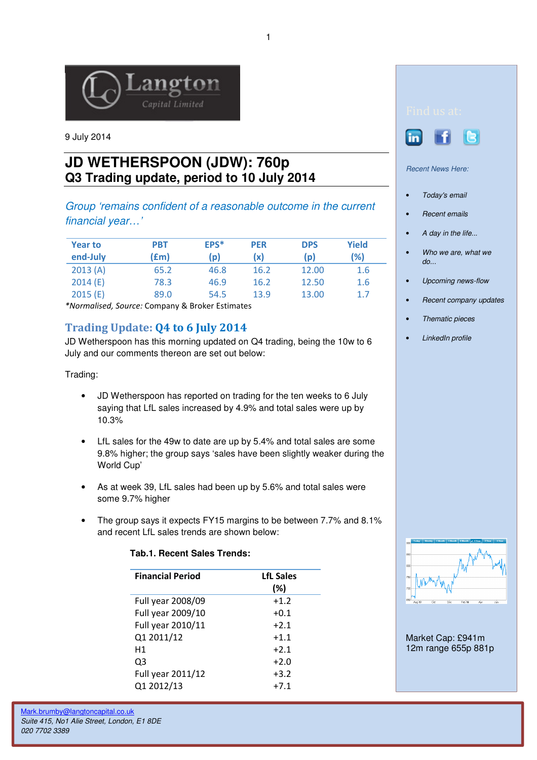

9 July 2014

# **JD WETHERSPOON (JDW): 760p Q3 Trading update, period to 10 July 2014**

Group 'remains confident of a reasonable outcome in the current financial year…'

| <b>Year to</b><br>end-July | PBT<br>(£m) | EPS*<br>(p) | <b>PER</b><br>(x) | <b>DPS</b><br>(p) | <b>Yield</b><br>(%) |
|----------------------------|-------------|-------------|-------------------|-------------------|---------------------|
| 2013(A)                    | 65.2        | 46.8        | 16.2              | 12.00             | 1.6                 |
| 2014(E)                    | 78.3        | 46.9        | 16.2              | 12.50             | 1.6                 |
| 2015(E)                    | 89.0        | 54.5        | 13.9              | 13.00             | 1.7                 |

\*Normalised, Source: Company & Broker Estimates

## Trading Update: Q4 to 6 July 2014

JD Wetherspoon has this morning updated on Q4 trading, being the 10w to 6 July and our comments thereon are set out below:

Trading:

- JD Wetherspoon has reported on trading for the ten weeks to 6 July saying that LfL sales increased by 4.9% and total sales were up by 10.3%
- LfL sales for the 49w to date are up by 5.4% and total sales are some 9.8% higher; the group says 'sales have been slightly weaker during the World Cup'
- As at week 39, LfL sales had been up by 5.6% and total sales were some 9.7% higher
- The group says it expects FY15 margins to be between 7.7% and 8.1% and recent LfL sales trends are shown below:

### **Tab.1. Recent Sales Trends:**

| <b>Financial Period</b> | <b>LfL Sales</b><br>(%) |
|-------------------------|-------------------------|
| Full year 2008/09       | $+1.2$                  |
| Full year 2009/10       | $+0.1$                  |
| Full year 2010/11       | $+2.1$                  |
| Q1 2011/12              | $+1.1$                  |
| H1                      | $+2.1$                  |
| Q3                      | $+2.0$                  |
| Full year 2011/12       | $+3.2$                  |
| Q1 2012/13              | $+7.1$                  |



Recent News Here:

- Today's email
- Recent emails
- A day in the life...
- Who we are, what we do...
- Upcoming news-flow
- Recent company updates
- Thematic pieces
- LinkedIn profile



Market Cap: £941m 12m range 655p 881p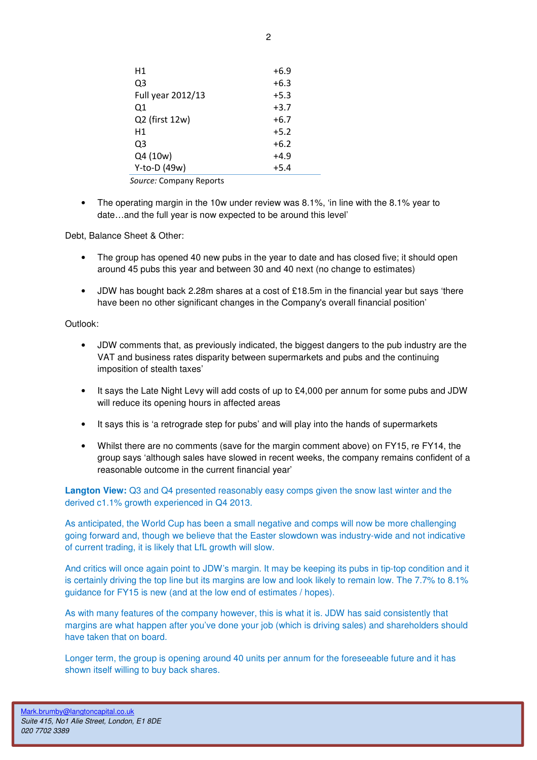| Η1                | +6.9   |
|-------------------|--------|
| Q3                | $+6.3$ |
| Full year 2012/13 | $+5.3$ |
| 01                | $+3.7$ |
| Q2 (first 12w)    | +6.7   |
| Н1                | $+5.2$ |
| O3                | $+6.2$ |
| Q4 (10w)          | $+4.9$ |
| Y-to-D (49w)      | $+5.4$ |

Source: Company Reports

• The operating margin in the 10w under review was 8.1%, 'in line with the 8.1% year to date…and the full year is now expected to be around this level'

Debt, Balance Sheet & Other:

- The group has opened 40 new pubs in the year to date and has closed five; it should open around 45 pubs this year and between 30 and 40 next (no change to estimates)
- JDW has bought back 2.28m shares at a cost of £18.5m in the financial year but says 'there have been no other significant changes in the Company's overall financial position'

#### Outlook:

- JDW comments that, as previously indicated, the biggest dangers to the pub industry are the VAT and business rates disparity between supermarkets and pubs and the continuing imposition of stealth taxes'
- It says the Late Night Levy will add costs of up to £4,000 per annum for some pubs and JDW will reduce its opening hours in affected areas
- It says this is 'a retrograde step for pubs' and will play into the hands of supermarkets
- Whilst there are no comments (save for the margin comment above) on FY15, re FY14, the group says 'although sales have slowed in recent weeks, the company remains confident of a reasonable outcome in the current financial year'

**Langton View:** Q3 and Q4 presented reasonably easy comps given the snow last winter and the derived c1.1% growth experienced in Q4 2013.

As anticipated, the World Cup has been a small negative and comps will now be more challenging going forward and, though we believe that the Easter slowdown was industry-wide and not indicative of current trading, it is likely that LfL growth will slow.

And critics will once again point to JDW's margin. It may be keeping its pubs in tip-top condition and it is certainly driving the top line but its margins are low and look likely to remain low. The 7.7% to 8.1% guidance for FY15 is new (and at the low end of estimates / hopes).

As with many features of the company however, this is what it is. JDW has said consistently that margins are what happen after you've done your job (which is driving sales) and shareholders should have taken that on board.

Longer term, the group is opening around 40 units per annum for the foreseeable future and it has shown itself willing to buy back shares.